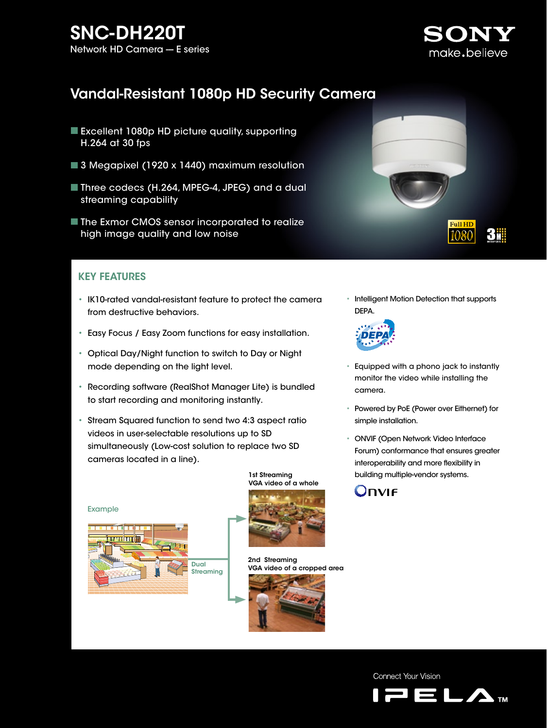# $SNC-DH220T$ <br>Network HD Camera — E series Network HD Camera -



**Full HD** 

1080

3#

# Vandal-Resistant 1080p HD Security Camera

- Excellent 1080p HD picture quality, supporting H.264 at 30 fps
- 3 Megapixel (1920 x 1440) maximum resolution
- Three codecs (H.264, MPEG-4, JPEG) and a dual streaming capability
- The Exmor CMOS sensor incorporated to realize high image quality and low noise

### KEY FEATURES

- IK10-rated vandal-resistant feature to protect the camera from destructive behaviors.
- Easy Focus / Easy Zoom functions for easy installation.
- Optical Day/Night function to switch to Day or Night mode depending on the light level.
- Recording software (RealShot Manager Lite) is bundled to start recording and monitoring instantly.
- Stream Squared function to send two 4:3 aspect ratio videos in user-selectable resolutions up to SD simultaneously (Low-cost solution to replace two SD cameras located in a line).





VGA video of a whole



2nd Streaming VGA video of a cropped area







- Equipped with a phono jack to instantly monitor the video while installing the camera.
- Powered by PoE (Power over Eithernet) for simple installation.
- ONVIF (Open Network Video Interface Forum) conformance that ensures greater interoperability and more flexibility in 1st Streaming building multiple-vendor systems.



Connect Your Vision